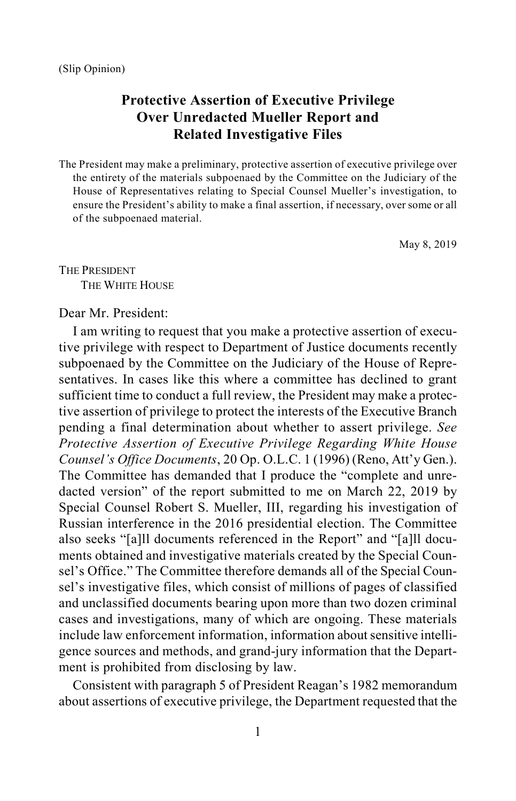## **Protective Assertion of Executive Privilege Over Unredacted Mueller Report and Related Investigative Files**

The President may make a preliminary, protective assertion of executive privilege over the entirety of the materials subpoenaed by the Committee on the Judiciary of the House of Representatives relating to Special Counsel Mueller's investigation, to ensure the President's ability to make a final assertion, if necessary, over some or all of the subpoenaed material.

May 8, 2019

THE PRESIDENT THE WHITE HOUSE

## Dear Mr. President:

I am writing to request that you make a protective assertion of executive privilege with respect to Department of Justice documents recently subpoenaed by the Committee on the Judiciary of the House of Representatives. In cases like this where a committee has declined to grant sufficient time to conduct a full review, the President may make a protective assertion of privilege to protect the interests of the Executive Branch pending a final determination about whether to assert privilege. *See Protective Assertion of Executive Privilege Regarding White House Counsel's Office Documents*, 20 Op. O.L.C. 1 (1996) (Reno, Att'y Gen.). The Committee has demanded that I produce the "complete and unredacted version" of the report submitted to me on March 22, 2019 by Special Counsel Robert S. Mueller, III, regarding his investigation of Russian interference in the 2016 presidential election. The Committee also seeks "[a]ll documents referenced in the Report" and "[a]ll documents obtained and investigative materials created by the Special Counsel's Office." The Committee therefore demands all of the Special Counsel's investigative files, which consist of millions of pages of classified and unclassified documents bearing upon more than two dozen criminal cases and investigations, many of which are ongoing. These materials include law enforcement information, information about sensitive intelligence sources and methods, and grand-jury information that the Department is prohibited from disclosing by law.

Consistent with paragraph 5 of President Reagan's 1982 memorandum about assertions of executive privilege, the Department requested that the